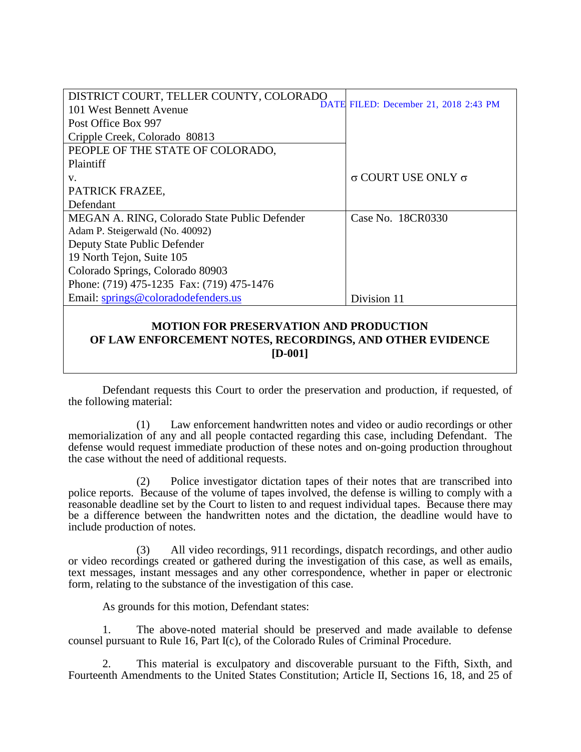| DISTRICT COURT, TELLER COUNTY, COLORADO       |                                       |
|-----------------------------------------------|---------------------------------------|
| 101 West Bennett Avenue                       | DATE FILED: December 21, 2018 2:43 PM |
| Post Office Box 997                           |                                       |
| Cripple Creek, Colorado 80813                 |                                       |
| PEOPLE OF THE STATE OF COLORADO,              |                                       |
| Plaintiff                                     |                                       |
| V.                                            | $\sigma$ COURT USE ONLY $\sigma$      |
| PATRICK FRAZEE,                               |                                       |
| Defendant                                     |                                       |
| MEGAN A. RING, Colorado State Public Defender | Case No. 18CR0330                     |
| Adam P. Steigerwald (No. 40092)               |                                       |
| Deputy State Public Defender                  |                                       |
| 19 North Tejon, Suite 105                     |                                       |
| Colorado Springs, Colorado 80903              |                                       |
| Phone: (719) 475-1235 Fax: (719) 475-1476     |                                       |
| Email: springs@coloradodefenders.us           | Division 11                           |
|                                               |                                       |

## **MOTION FOR PRESERVATION AND PRODUCTION OF LAW ENFORCEMENT NOTES, RECORDINGS, AND OTHER EVIDENCE [D-001]**

Defendant requests this Court to order the preservation and production, if requested, of the following material:

(1) Law enforcement handwritten notes and video or audio recordings or other memorialization of any and all people contacted regarding this case, including Defendant. The defense would request immediate production of these notes and on-going production throughout the case without the need of additional requests.

(2) Police investigator dictation tapes of their notes that are transcribed into police reports. Because of the volume of tapes involved, the defense is willing to comply with a reasonable deadline set by the Court to listen to and request individual tapes. Because there may be a difference between the handwritten notes and the dictation, the deadline would have to include production of notes.

(3) All video recordings, 911 recordings, dispatch recordings, and other audio or video recordings created or gathered during the investigation of this case, as well as emails, text messages, instant messages and any other correspondence, whether in paper or electronic form, relating to the substance of the investigation of this case.

As grounds for this motion, Defendant states:

1. The above-noted material should be preserved and made available to defense counsel pursuant to Rule 16, Part I(c), of the Colorado Rules of Criminal Procedure.

2. This material is exculpatory and discoverable pursuant to the Fifth, Sixth, and Fourteenth Amendments to the United States Constitution; Article II, Sections 16, 18, and 25 of